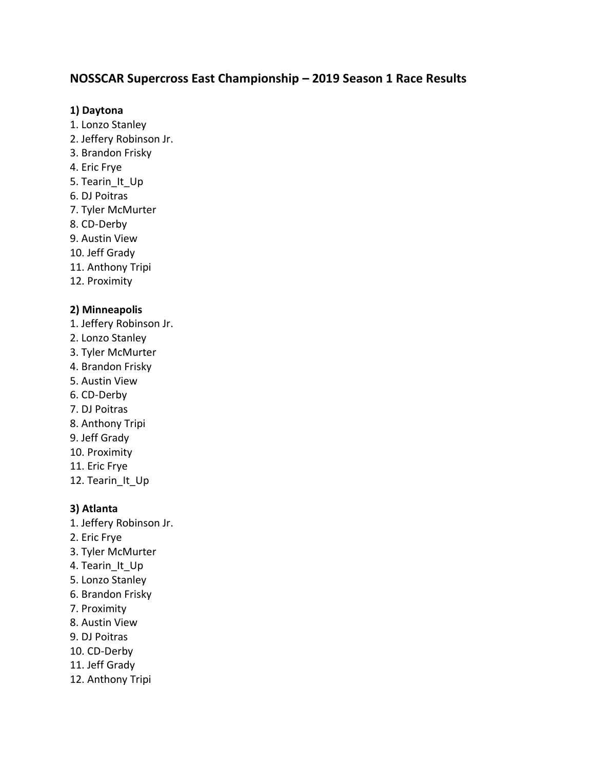# **NOSSCAR Supercross East Championship – 2019 Season 1 Race Results**

## **1) Daytona**

- 1. Lonzo Stanley
- 2. Jeffery Robinson Jr.
- 3. Brandon Frisky
- 4. Eric Frye
- 5. Tearin It Up
- 6. DJ Poitras
- 7. Tyler McMurter
- 8. CD-Derby
- 9. Austin View
- 10. Jeff Grady
- 11. Anthony Tripi
- 12. Proximity

# **2) Minneapolis**

- 1. Jeffery Robinson Jr.
- 2. Lonzo Stanley
- 3. Tyler McMurter
- 4. Brandon Frisky
- 5. Austin View
- 6. CD-Derby
- 7. DJ Poitras
- 8. Anthony Tripi
- 9. Jeff Grady
- 10. Proximity
- 11. Eric Frye
- 12. Tearin It Up

# **3) Atlanta**

- 1. Jeffery Robinson Jr.
- 2. Eric Frye
- 3. Tyler McMurter
- 4. Tearin It Up
- 5. Lonzo Stanley
- 6. Brandon Frisky
- 7. Proximity
- 8. Austin View
- 9. DJ Poitras
- 10. CD-Derby
- 11. Jeff Grady
- 12. Anthony Tripi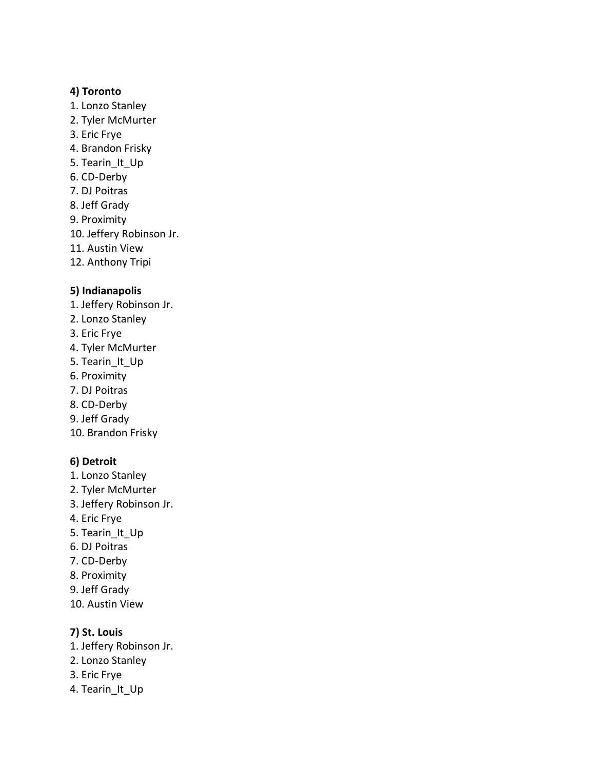#### **4) Toronto**

- 1. Lonzo Stanley
- 2. Tyler McMurter
- 3. Eric Frye
- 4. Brandon Frisky
- 5. Tearin It Up
- 6. CD-Derby
- 7. DJ Poitras
- 8. Jeff Grady
- 9. Proximity
- 10. Jeffery Robinson Jr.
- 11. Austin View
- 12. Anthony Tripi

#### **5) Indianapolis**

- 1. Jeffery Robinson Jr.
- 2. Lonzo Stanley
- 3. Eric Frye
- 4. Tyler McMurter
- 5. Tearin\_It\_Up
- 6. Proximity
- 7. DJ Poitras
- 8. CD-Derby
- 9. Jeff Grady
- 10. Brandon Frisky

#### **6) Detroit**

- 1. Lonzo Stanley
- 2. Tyler McMurter
- 3. Jeffery Robinson Jr.
- 4. Eric Frye
- 5. Tearin\_It\_Up
- 6. DJ Poitras
- 7. CD-Derby
- 8. Proximity
- 9. Jeff Grady
- 10. Austin View

#### **7) St. Louis**

- 1. Jeffery Robinson Jr.
- 2. Lonzo Stanley
- 3. Eric Frye
- 4. Tearin It Up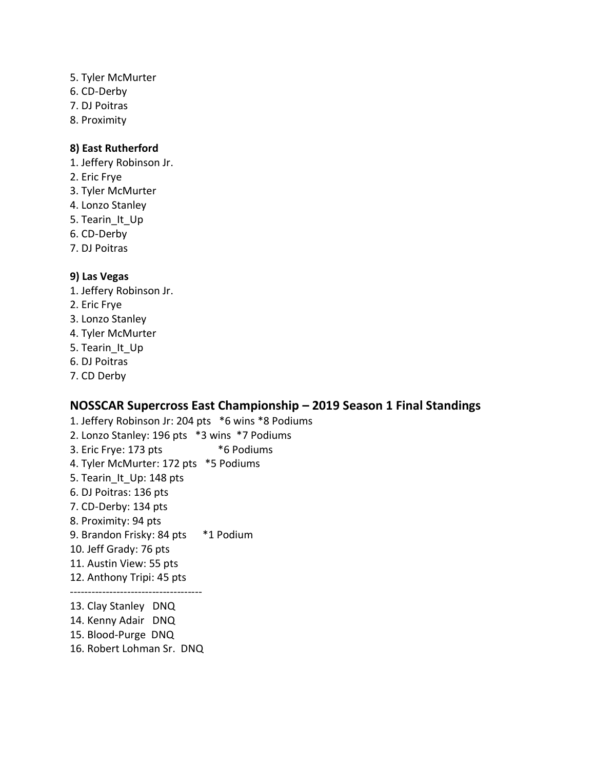- 5. Tyler McMurter
- 6. CD-Derby
- 7. DJ Poitras
- 8. Proximity

#### **8) East Rutherford**

- 1. Jeffery Robinson Jr.
- 2. Eric Frye
- 3. Tyler McMurter
- 4. Lonzo Stanley
- 5. Tearin It Up
- 6. CD-Derby
- 7. DJ Poitras

#### **9) Las Vegas**

- 1. Jeffery Robinson Jr.
- 2. Eric Frye
- 3. Lonzo Stanley
- 4. Tyler McMurter
- 5. Tearin It Up
- 6. DJ Poitras
- 7. CD Derby

# **NOSSCAR Supercross East Championship – 2019 Season 1 Final Standings**

- 1. Jeffery Robinson Jr: 204 pts \*6 wins \*8 Podiums 2. Lonzo Stanley: 196 pts \*3 wins \*7 Podiums 3. Eric Frye: 173 pts \*6 Podiums 4. Tyler McMurter: 172 pts \*5 Podiums 5. Tearin\_It\_Up: 148 pts 6. DJ Poitras: 136 pts 7. CD-Derby: 134 pts 8. Proximity: 94 pts 9. Brandon Frisky: 84 pts \*1 Podium 10. Jeff Grady: 76 pts 11. Austin View: 55 pts 12. Anthony Tripi: 45 pts ------------------------------------- 13. Clay Stanley DNQ 14. Kenny Adair DNQ 15. Blood-Purge DNQ
- 16. Robert Lohman Sr. DNQ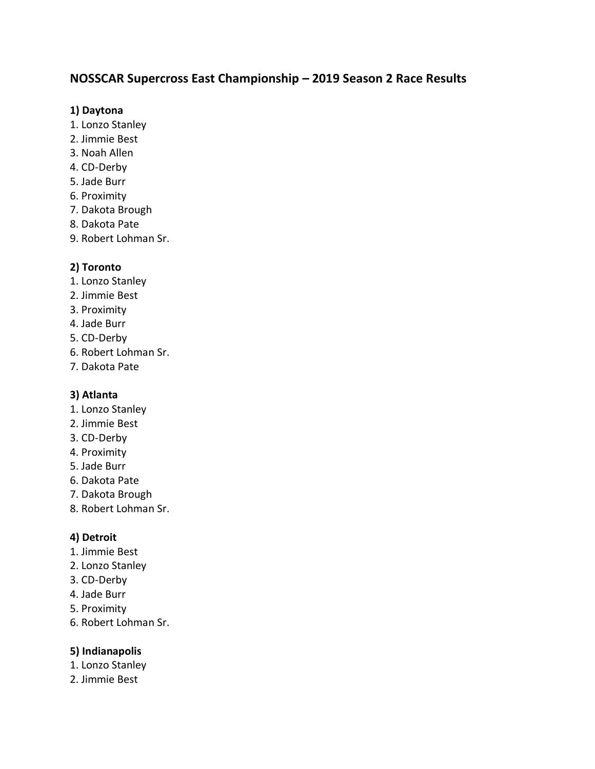# **NOSSCAR Supercross East Championship – 2019 Season 2 Race Results**

## **1) Daytona**

- 1. Lonzo Stanley
- 2. Jimmie Best
- 3. Noah Allen
- 4. CD-Derby
- 5. Jade Burr
- 6. Proximity
- 7. Dakota Brough
- 8. Dakota Pate
- 9. Robert Lohman Sr.

# **2) Toronto**

- 1. Lonzo Stanley
- 2. Jimmie Best
- 3. Proximity
- 4. Jade Burr
- 5. CD-Derby
- 6. Robert Lohman Sr.
- 7. Dakota Pate

# **3) Atlanta**

- 1. Lonzo Stanley
- 2. Jimmie Best
- 3. CD-Derby
- 4. Proximity
- 5. Jade Burr
- 6. Dakota Pate
- 7. Dakota Brough
- 8. Robert Lohman Sr.

# **4) Detroit**

- 1. Jimmie Best
- 2. Lonzo Stanley
- 3. CD-Derby
- 4. Jade Burr
- 5. Proximity
- 6. Robert Lohman Sr.

# **5) Indianapolis**

- 1. Lonzo Stanley
- 2. Jimmie Best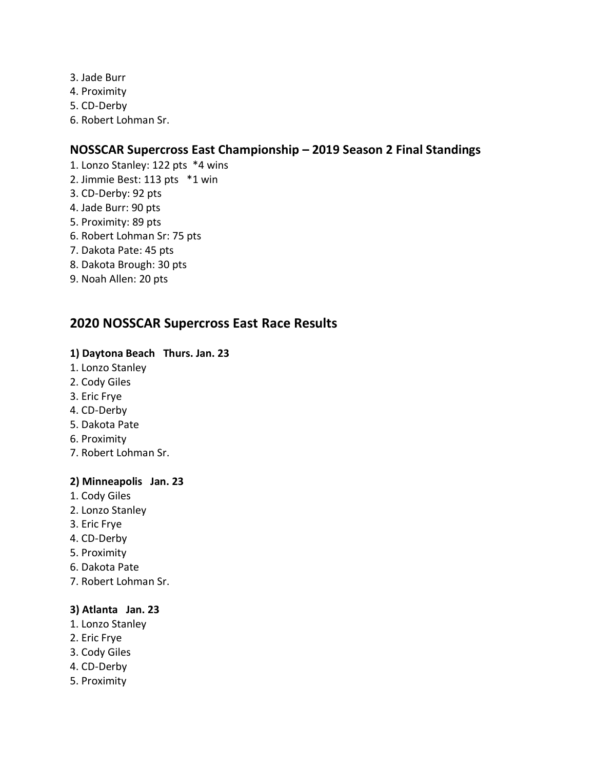- 3. Jade Burr
- 4. Proximity
- 5. CD-Derby
- 6. Robert Lohman Sr.

# **NOSSCAR Supercross East Championship – 2019 Season 2 Final Standings**

- 1. Lonzo Stanley: 122 pts \*4 wins
- 2. Jimmie Best: 113 pts \*1 win
- 3. CD-Derby: 92 pts
- 4. Jade Burr: 90 pts
- 5. Proximity: 89 pts
- 6. Robert Lohman Sr: 75 pts
- 7. Dakota Pate: 45 pts
- 8. Dakota Brough: 30 pts
- 9. Noah Allen: 20 pts

# **2020 NOSSCAR Supercross East Race Results**

## **1) Daytona Beach Thurs. Jan. 23**

- 1. Lonzo Stanley
- 2. Cody Giles
- 3. Eric Frye
- 4. CD-Derby
- 5. Dakota Pate
- 6. Proximity
- 7. Robert Lohman Sr.

#### **2) Minneapolis Jan. 23**

- 1. Cody Giles
- 2. Lonzo Stanley
- 3. Eric Frye
- 4. CD-Derby
- 5. Proximity
- 6. Dakota Pate
- 7. Robert Lohman Sr.

# **3) Atlanta Jan. 23**

- 1. Lonzo Stanley
- 2. Eric Frye
- 3. Cody Giles
- 4. CD-Derby
- 5. Proximity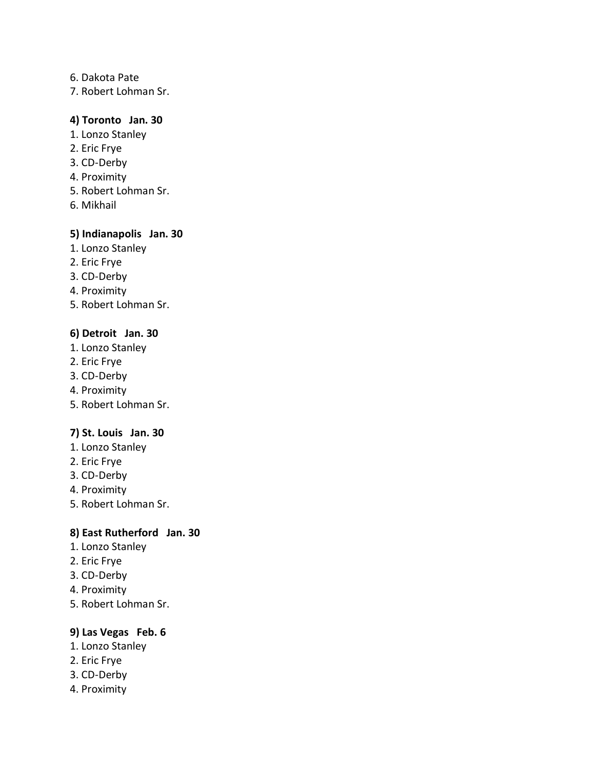#### 6. Dakota Pate

7. Robert Lohman Sr.

## **4) Toronto Jan. 30**

- 1. Lonzo Stanley
- 2. Eric Frye
- 3. CD-Derby
- 4. Proximity
- 5. Robert Lohman Sr.
- 6. Mikhail

#### **5) Indianapolis Jan. 30**

- 1. Lonzo Stanley
- 2. Eric Frye
- 3. CD-Derby
- 4. Proximity
- 5. Robert Lohman Sr.

#### **6) Detroit Jan. 30**

- 1. Lonzo Stanley
- 2. Eric Frye
- 3. CD-Derby
- 4. Proximity
- 5. Robert Lohman Sr.

## **7) St. Louis Jan. 30**

- 1. Lonzo Stanley
- 2. Eric Frye
- 3. CD-Derby
- 4. Proximity
- 5. Robert Lohman Sr.

# **8) East Rutherford Jan. 30**

- 1. Lonzo Stanley
- 2. Eric Frye
- 3. CD-Derby
- 4. Proximity
- 5. Robert Lohman Sr.

#### **9) Las Vegas Feb. 6**

- 1. Lonzo Stanley
- 2. Eric Frye
- 3. CD-Derby
- 4. Proximity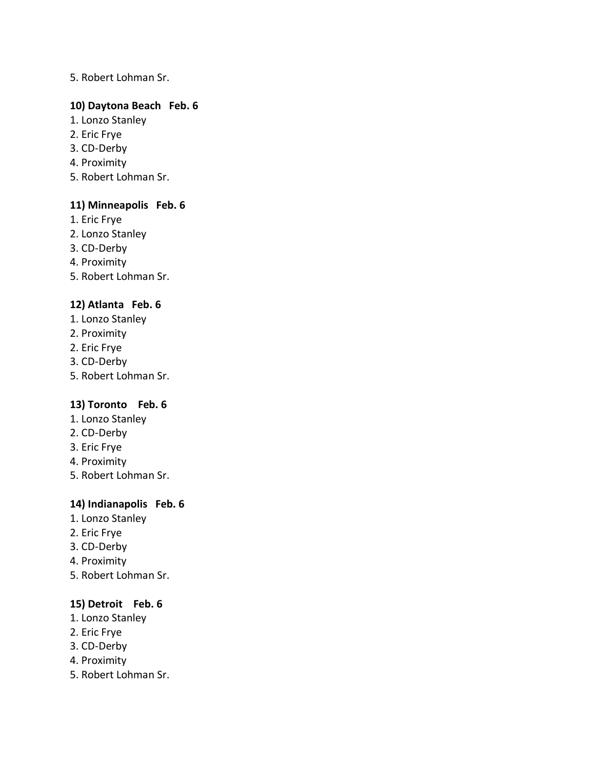#### 5. Robert Lohman Sr.

## **10) Daytona Beach Feb. 6**

- 1. Lonzo Stanley
- 2. Eric Frye
- 3. CD-Derby
- 4. Proximity
- 5. Robert Lohman Sr.

## **11) Minneapolis Feb. 6**

- 1. Eric Frye
- 2. Lonzo Stanley
- 3. CD-Derby
- 4. Proximity
- 5. Robert Lohman Sr.

# **12) Atlanta Feb. 6**

- 1. Lonzo Stanley
- 2. Proximity
- 2. Eric Frye
- 3. CD-Derby
- 5. Robert Lohman Sr.

#### **13) Toronto Feb. 6**

- 1. Lonzo Stanley
- 2. CD-Derby
- 3. Eric Frye
- 4. Proximity
- 5. Robert Lohman Sr.

#### **14) Indianapolis Feb. 6**

- 1. Lonzo Stanley
- 2. Eric Frye
- 3. CD-Derby
- 4. Proximity
- 5. Robert Lohman Sr.

# **15) Detroit Feb. 6**

- 1. Lonzo Stanley
- 2. Eric Frye
- 3. CD-Derby
- 4. Proximity
- 5. Robert Lohman Sr.